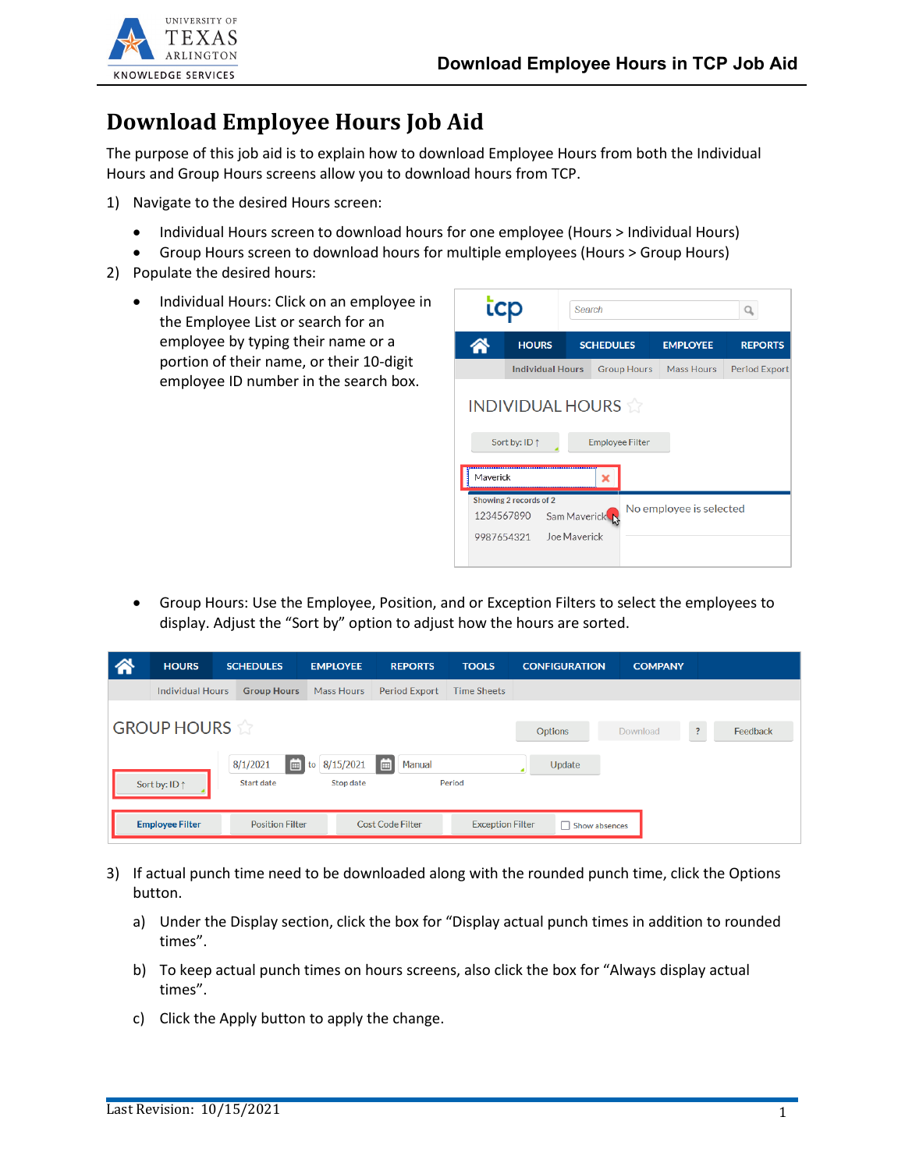

## **Download Employee Hours Job Aid**

The purpose of this job aid is to explain how to download Employee Hours from both the Individual Hours and Group Hours screens allow you to download hours from TCP.

- 1) Navigate to the desired Hours screen:
	- Individual Hours screen to download hours for one employee (Hours > Individual Hours)
	- Group Hours screen to download hours for multiple employees (Hours > Group Hours)
- 2) Populate the desired hours:
	- Individual Hours: Click on an employee in the Employee List or search for an employee by typing their name or a portion of their name, or their 10-digit employee ID number in the search box.



• Group Hours: Use the Employee, Position, and or Exception Filters to select the employees to display. Adjust the "Sort by" option to adjust how the hours are sorted.

| 谷 | <b>HOURS</b>            | <b>SCHEDULES</b>       |                        | <b>EMPLOYEE</b>        | <b>REPORTS</b>          | <b>TOOLS</b>       |                         | <b>CONFIGURATION</b> | <b>COMPANY</b> |                            |
|---|-------------------------|------------------------|------------------------|------------------------|-------------------------|--------------------|-------------------------|----------------------|----------------|----------------------------|
|   | <b>Individual Hours</b> |                        | <b>Group Hours</b>     | <b>Mass Hours</b>      | <b>Period Export</b>    | <b>Time Sheets</b> |                         |                      |                |                            |
|   | <b>GROUP HOURS</b>      |                        |                        |                        |                         |                    |                         | Options              | Download       | $\overline{?}$<br>Feedback |
|   | Sort by: ID 1           | 8/1/2021<br>Start date | 画<br>to                | 8/15/2021<br>Stop date | Manual<br>▌⊞            | Period             |                         | Update               |                |                            |
|   | <b>Employee Filter</b>  |                        | <b>Position Filter</b> |                        | <b>Cost Code Filter</b> |                    | <b>Exception Filter</b> | Show absences        |                |                            |

- 3) If actual punch time need to be downloaded along with the rounded punch time, click the Options button.
	- a) Under the Display section, click the box for "Display actual punch times in addition to rounded times".
	- b) To keep actual punch times on hours screens, also click the box for "Always display actual times".
	- c) Click the Apply button to apply the change.